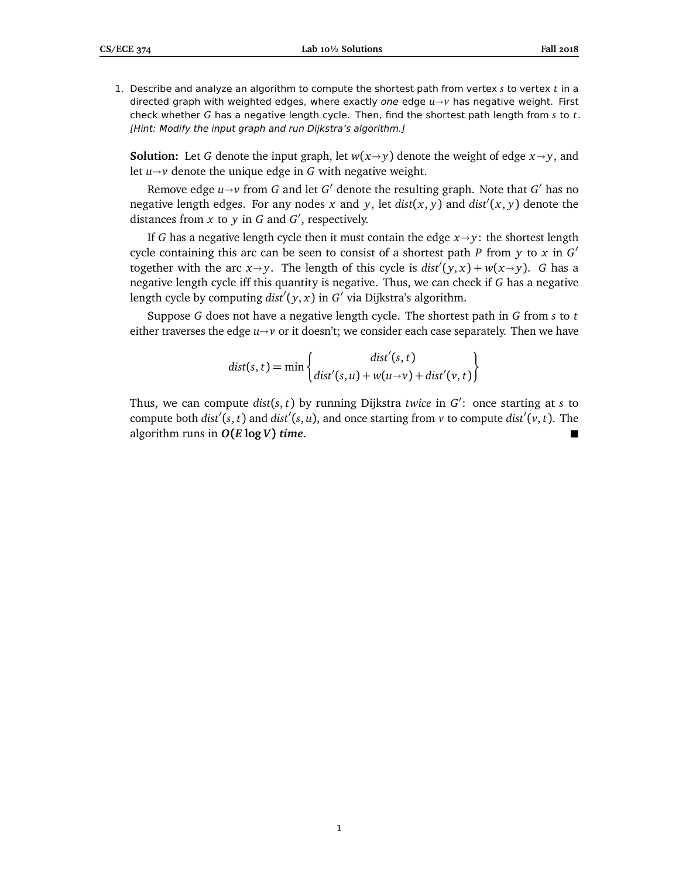1. Describe and analyze an algorithm to compute the shortest path from vertex *s* to vertex *t* in a directed graph with weighted edges, where exactly one edge  $u \rightarrow v$  has negative weight. First check whether *G* has a negative length cycle. Then, find the shortest path length from *s* to *t*. [Hint: Modify the input graph and run Dijkstra's algorithm.]

**Solution:** Let *G* denote the input graph, let  $w(x \rightarrow y)$  denote the weight of edge  $x \rightarrow y$ , and let  $u \rightarrow v$  denote the unique edge in *G* with negative weight.

Remove edge  $u \rightarrow v$  from *G* and let *G*<sup> $\prime$ </sup> denote the resulting graph. Note that *G*<sup> $\prime$ </sup> has no<br>sative length edges. For any nodes *x* and *x* let dist(*x x*) and dist<sup>(</sup>(*x x*) denote the negative length edges. For any nodes *x* and *y*, let  $dist(x, y)$  and  $dist'(x, y)$  denote the distances from  $x$  to  $y$  in  $G$  and  $G'$ , respectively.

If *G* has a negative length cycle then it must contain the edge  $x \rightarrow y$ : the shortest length cycle containing this arc can be seen to consist of a shortest path *P* from *y* to *x* in *G* 0 together with the arc  $x \rightarrow y$ . The length of this cycle is  $dist'(y, x) + w(x \rightarrow y)$ . *G* has a negative length quale if this quantity is negative. Thus, we can check if *G* has a negative negative length cycle iff this quantity is negative. Thus, we can check if *G* has a negative length cycle by computing  $dist'(y, x)$  in  $G'$  via Dijkstra's algorithm.

Suppose *G* does not have a negative length cycle. The shortest path in *G* from *s* to *t* either traverses the edge  $u \rightarrow v$  or it doesn't; we consider each case separately. Then we have

$$
dist(s, t) = \min \left\{ \begin{matrix} dist'(s, t) \\ dist'(s, u) + w(u \rightarrow v) + dist'(v, t) \end{matrix} \right\}
$$

Thus, we can compute *dist*(*s*, *t*) by running Dijkstra *twice* in *G* 0 : once starting at *s* to compute both  $dist'(s, t)$  and  $dist'(s, u)$ , and once starting from  $v$  to compute  $dist'(v, t)$ . The algorithm runs in *O***(***E* **log** *V***)** *time*.

1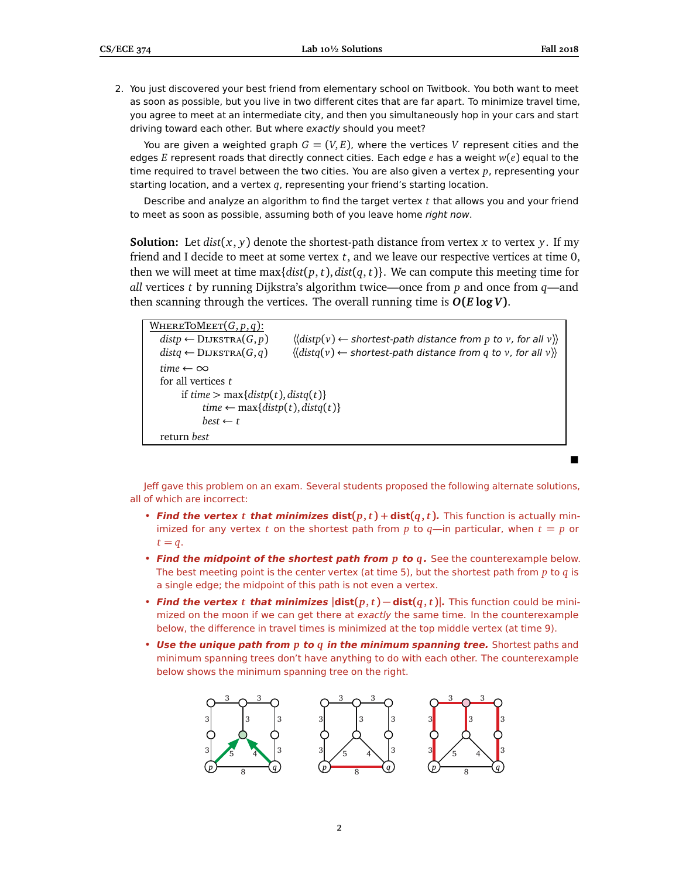$\blacksquare$ 

2. You just discovered your best friend from elementary school on Twitbook. You both want to meet as soon as possible, but you live in two different cites that are far apart. To minimize travel time, you agree to meet at an intermediate city, and then you simultaneously hop in your cars and start driving toward each other. But where exactly should you meet?

You are given a weighted graph  $G = (V, E)$ , where the vertices V represent cities and the edges *E* represent roads that directly connect cities. Each edge *e* has a weight *w*(*e*) equal to the time required to travel between the two cities. You are also given a vertex *p*, representing your starting location, and a vertex *q*, representing your friend's starting location.

Describe and analyze an algorithm to find the target vertex *t* that allows you and your friend to meet as soon as possible, assuming both of you leave home right now.

**Solution:** Let  $dist(x, y)$  denote the shortest-path distance from vertex x to vertex y. If my friend and I decide to meet at some vertex *t*, and we leave our respective vertices at time 0, then we will meet at time max $\{dist(p, t), dist(q, t)\}$ . We can compute this meeting time for *all* vertices *t* by running Dijkstra's algorithm twice—once from *p* and once from *q*—and then scanning through the vertices. The overall running time is  $O(E \log V)$ .

| WHERETOMEET $(G, p, q)$ :                       |                                                                                                                                      |
|-------------------------------------------------|--------------------------------------------------------------------------------------------------------------------------------------|
| $distp \leftarrow \text{Dijkstra}(G, p)$        | $\langle \langle \text{distp}(v) \leftarrow \text{shortest-path distance from } p \text{ to } v, \text{ for all } v \rangle \rangle$ |
| $distq \leftarrow \text{Dijkstra}(G,q)$         | $\langle \langle \text{dist}(v) \leftarrow \text{shortest-path distance from } q \text{ to } v, \text{ for all } v \rangle \rangle$  |
| time $\leftarrow \infty$                        |                                                                                                                                      |
| for all vertices t                              |                                                                                                                                      |
| if $time > max\{distp(t), distq(t)\}\$          |                                                                                                                                      |
| time $\leftarrow$ max $\{distp(t), distq(t)\}\$ |                                                                                                                                      |
| $best \leftarrow t$                             |                                                                                                                                      |
| return best                                     |                                                                                                                                      |

Jeff gave this problem on an exam. Several students proposed the following alternate solutions, all of which are incorrect:

- **Find the vertex t that minimizes dist** $(p, t)$  + **dist** $(q, t)$ . This function is actually minimized for any vertex *t* on the shortest path from *p* to  $q$ —in particular, when  $t = p$  or  $t = q$ .
- **Find the midpoint of the shortest path from** *p* **to** *q***.** See the counterexample below. The best meeting point is the center vertex (at time 5), but the shortest path from *p* to *q* is a single edge; the midpoint of this path is not even a vertex.
- Find the vertex t that minimizes  $|dist(p, t) dist(q, t)|$ . This function could be minimized on the moon if we can get there at exactly the same time. In the counterexample below, the difference in travel times is minimized at the top middle vertex (at time 9).
- **Use the unique path from** *p* **to** *q* **in the minimum spanning tree.** Shortest paths and minimum spanning trees don't have anything to do with each other. The counterexample below shows the minimum spanning tree on the right.